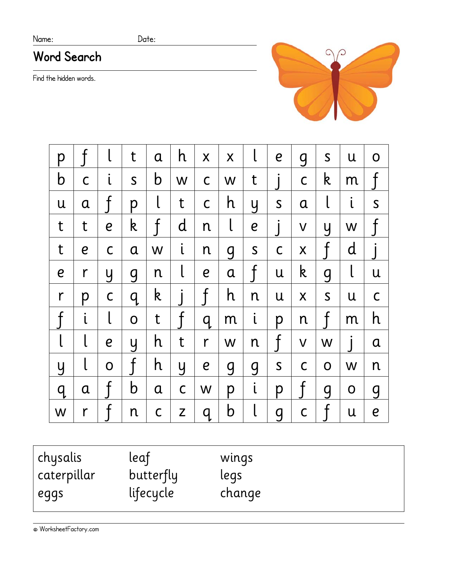### Name: Date:

# **Word Search**

Find the hidden words.



| р                |                  |                  | t            | a            | h              | $\mathsf{X}$     | X            | l                | e              | g             | $\mathsf S$  | U            | O                |
|------------------|------------------|------------------|--------------|--------------|----------------|------------------|--------------|------------------|----------------|---------------|--------------|--------------|------------------|
| b                | $\mathsf C$      | $\mathfrak{i}$   | $\mathsf{S}$ | $\mathbf b$  | W              | $\mathsf C$      | W            | t                |                | $\mathsf C$   | k            | m            | $\mathsf{f}$     |
| U                | $\mathbf a$      |                  | p            | l            | t              | $\mathsf C$      | h            | y                | $\mathsf S$    | $\alpha$      | l            | $\mathsf{L}$ | $\mathsf S$      |
| t                | t                | $\boldsymbol{e}$ | k            | $\mathsf{f}$ | $\mathsf{d}$   | n                | $\mathsf{l}$ | $\boldsymbol{e}$ | $\int$         | $\vee$        | y            | W            | $\mathsf{f}$     |
| t                | $\boldsymbol{e}$ | $\mathsf C$      | $\mathbf a$  | W            | $\mathfrak{i}$ | n                | 9            | $\mathsf S$      | $\mathsf C$    | X             | $\rm f$      | $\mathsf{d}$ |                  |
| $\boldsymbol{e}$ | r                | y                | <b>g</b>     | n            | l              | $\boldsymbol{e}$ | $\alpha$     | $\rm f$          | U              | $\mathsf k$   | <b>g</b>     | l            | U                |
| $\mathsf{r}$     | p                | $\mathsf{C}$     | q            | k            |                | $\mathfrak f$    | h            | n                | U              | X             | $\mathsf S$  | U            | $\mathsf C$      |
| $\mathsf{f}$     | $\mathfrak{i}$   | $\mathsf{l}$     | $\mathsf{O}$ | t            | $\int$         | q                | m            | $\mathfrak{i}$   | p              | n             | $\mathsf{f}$ | m            | h                |
| l                | l                | $\boldsymbol{e}$ | y            | h            | t              | r                | W            | n                | $\mathsf{f}$   | $\mathsf{V}$  | W            |              | $\mathbf a$      |
| y                |                  | $\mathbf 0$      | f            | h            | y              | $\boldsymbol{e}$ | <b>g</b>     | $\overline{g}$   | $\mathsf{S}$   | $\mathsf C$   | $\mathbf O$  | W            | n                |
| q                | $\mathbf a$      | $\int$           | b            | $\mathbf a$  | $\mathsf C$    | W                | p            | $\mathsf{L}$     | p              | $\mathfrak f$ | <b>g</b>     | $\mathbf 0$  | g                |
| W                | $\mathsf{r}$     | f                | n            | $\mathsf C$  | Z              | q                | $\mathbf b$  | l                | $\overline{g}$ | $\mathsf C$   | $\mathsf{f}$ | U            | $\boldsymbol{e}$ |

| chysalis    | leaf      | wings  |
|-------------|-----------|--------|
| caterpillar | butterfly | legs   |
| eggs        | lifecycle | change |
|             |           |        |

© WorksheetFactory.com